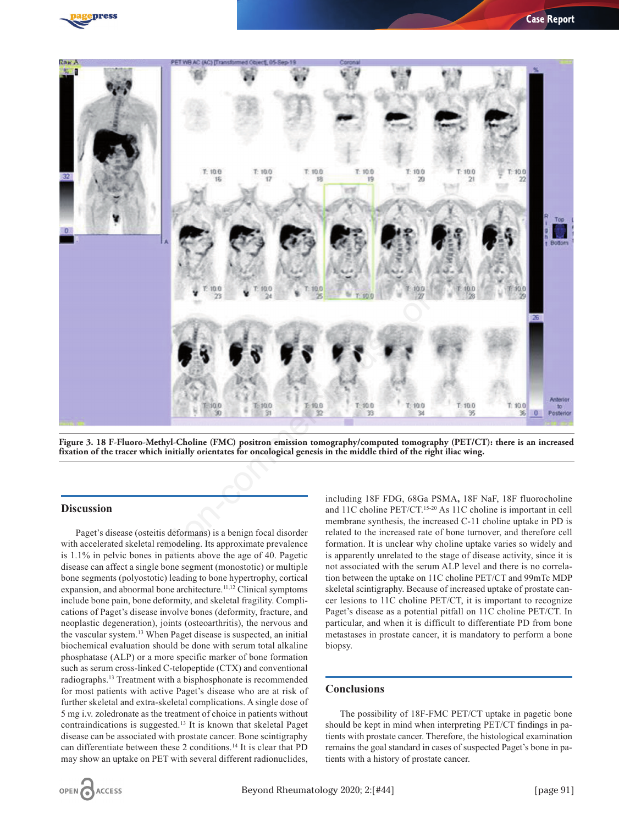



**Figure 3. 18 F-Fluoro-Methyl-Choline (FMC) positron emission tomography/computed tomography (PET/CT): there is an increased fixation of the tracer which initially orientates for oncological genesis in the middle third of the right iliac wing.**

## **Discussion**

Paget's disease (osteitis deformans) is a benign focal disorder with accelerated skeletal remodeling. Its approximate prevalence is 1.1% in pelvic bones in patients above the age of 40. Pagetic disease can affect a single bone segment (monostotic) or multiple bone segments (polyostotic) leading to bone hypertrophy, cortical expansion, and abnormal bone architecture.<sup>11,12</sup> Clinical symptoms include bone pain, bone deformity, and skeletal fragility. Complications of Paget's disease involve bones (deformity, fracture, and neoplastic degeneration), joints (osteoarthritis), the nervous and the vascular system.13 When Paget disease is suspected, an initial biochemical evaluation should be done with serum total alkaline phosphatase (ALP) or a more specific marker of bone formation such as serum cross-linked C-telopeptide (CTX) and conventional radiographs.13 Treatment with a bisphosphonate is recommended for most patients with active Paget's disease who are at risk of further skeletal and extra-skeletal complications. A single dose of 5 mg i.v. zoledronate as the treatment of choice in patients without contraindications is suggested.13 It is known that skeletal Paget disease can be associated with prostate cancer. Bone scintigraphy can differentiate between these 2 conditions.14 It is clear that PD may show an uptake on PET with several different radionuclides, including 18F FDG, 68Ga PSMA**,** 18F NaF, 18F fluorocholine and 11C choline PET/CT.15-20 As 11C choline is important in cell membrane synthesis, the increased C-11 choline uptake in PD is related to the increased rate of bone turnover, and therefore cell formation. It is unclear why choline uptake varies so widely and is apparently unrelated to the stage of disease activity, since it is not associated with the serum ALP level and there is no correlation between the uptake on 11C choline PET/CT and 99mTc MDP skeletal scintigraphy. Because of increased uptake of prostate cancer lesions to 11C choline PET/CT, it is important to recognize Paget's disease as a potential pitfall on 11C choline PET/CT. In particular, and when it is difficult to differentiate PD from bone metastases in prostate cancer, it is mandatory to perform a bone biopsy.

## **Conclusions**

The possibility of 18F-FMC PET/CT uptake in pagetic bone should be kept in mind when interpreting PET/CT findings in patients with prostate cancer. Therefore, the histological examination remains the goal standard in cases of suspected Paget's bone in patients with a history of prostate cancer.